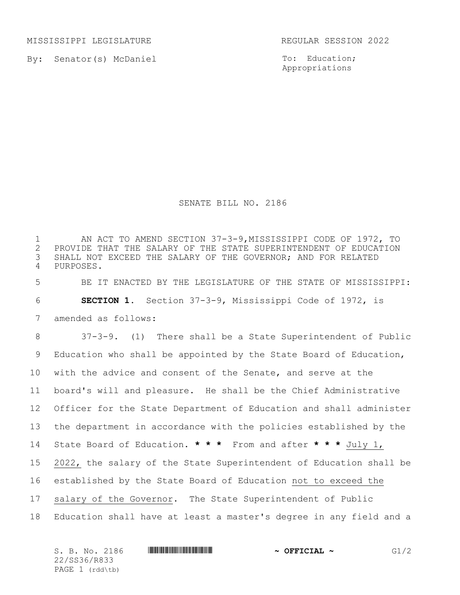MISSISSIPPI LEGISLATURE **REGULAR SESSION 2022** 

By: Senator(s) McDaniel

To: Education; Appropriations

## SENATE BILL NO. 2186

1 AN ACT TO AMEND SECTION 37-3-9, MISSISSIPPI CODE OF 1972, TO<br>2 PROVIDE THAT THE SALARY OF THE STATE SUPERINTENDENT OF EDUCATION PROVIDE THAT THE SALARY OF THE STATE SUPERINTENDENT OF EDUCATION SHALL NOT EXCEED THE SALARY OF THE GOVERNOR; AND FOR RELATED PURPOSES.

 BE IT ENACTED BY THE LEGISLATURE OF THE STATE OF MISSISSIPPI: **SECTION 1.** Section 37-3-9, Mississippi Code of 1972, is amended as follows:

 37-3-9. (1)There shall be a State Superintendent of Public Education who shall be appointed by the State Board of Education, with the advice and consent of the Senate, and serve at the board's will and pleasure. He shall be the Chief Administrative Officer for the State Department of Education and shall administer the department in accordance with the policies established by the State Board of Education. **\* \* \*** From and after **\* \* \*** July 1, 2022, the salary of the State Superintendent of Education shall be established by the State Board of Education not to exceed the salary of the Governor. The State Superintendent of Public Education shall have at least a master's degree in any field and a

| S. B. No. 2186  | $\sim$ OFFICIAL $\sim$ | G1/2 |
|-----------------|------------------------|------|
| 22/SS36/R833    |                        |      |
| PAGE 1 (rdd\tb) |                        |      |